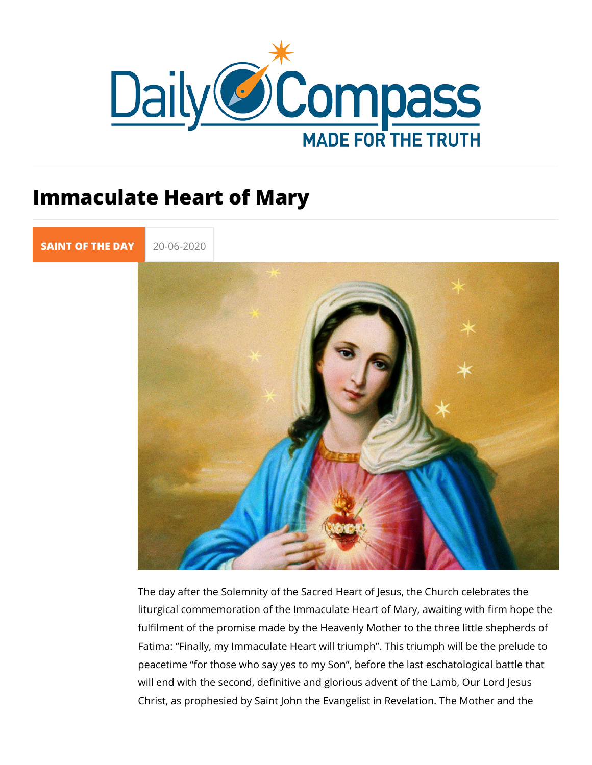## Immaculate Heart of Mary

[SAINT OF TH](https://newdailycompass.com/en/santi-del-giorno)E 20-06-2020

The day after the Solemnity of the Sacred Heart of Jesus, the liturgical commemoration of the Immaculate Heart of Mary, awa fulfilment of the promise made by the Heavenly Mother to the Fatimainally, my Immaculate Heart will triumph . This triumph peacetimer those who say yes to my Son, before the last esch will end with the second, definitive and glorious advent of the Christ, as prophesied by Saint John the Evangelist in Revelati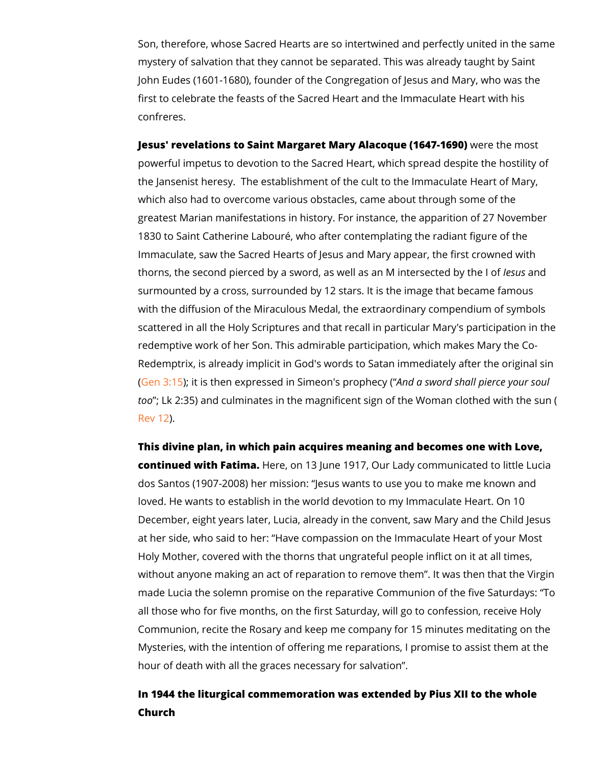Son, therefore, whose Sacred Hearts are so intertwined and  $p \in \mathbb{R}$ mystery of salvation that they cannot be separated. This was a John Eudes (1601-1680), founder of the Congregation of Jesus first to celebrate the feasts of the Sacred Heart and the Imma confreres.

Jesus' revelations to Saint Margaret Mary Alacwequee the 6 4m7o-s1t69 powerful impetus to devotion to the Sacred Heart, which sprea the Jansenist heresy. The establishment of the cult to the Imp which also had to overcome various obstacles, came about thr greatest Marian manifestations in history. For instance, the ap 1830 to Saint Catherine Labouré, who after contemplating the Immaculate, saw the Sacred Hearts of Jesus and Mary appear, thorns, the second pierced by a sword, as well as bensulas inditerse surmounted by a cross, surrounded by 12 stars. It is the image with the diffusion of the Miraculous Medal, the extraordinary c scattered in all the Holy Scriptures and that recall in particula redemptive work of her Son. This admirable participation, which Redemptrix, is already implicit in God's words to Satan immed  $(Gen 3)$  $(Gen 3)$ :15 it is then expressed in SimeAonnol's apsrow op thole osyha(II pierce your souls and  $S$ ) too; Lk 2:35) and culminates in the magnificent sign of the Wo [Rev](https://www.biblegateway.com/passage/?search=Rev+12&version=KJ21) 1.2

This divine plan, in which pain acquires meaning and becomes continued with Fahema., on 13 June 1917, Our Lady communicat dos Santos (1907-2008) hesunsisweanists to use you to make me known loved. He wants to establish in the world devotion to my Imma December, eight years later, Lucia, already in the convent, sa at her side, who salida to bempassion on the Immaculate Heart of Holy Mother, covered with the thorns that ungrateful people in without anyone making an act of reparation to remove them . I made Lucia the solemn promise on the reparative CommuTroion of all those who for five months, on the first Saturday, will go to Communion, recite the Rosary and keep me company for 15 min Mysteries, with the intention of offering me reparations, I pror hour of death with all the graces necessary for salvation .

In 1944 the liturgical commemoration was extended by Pius XI Church